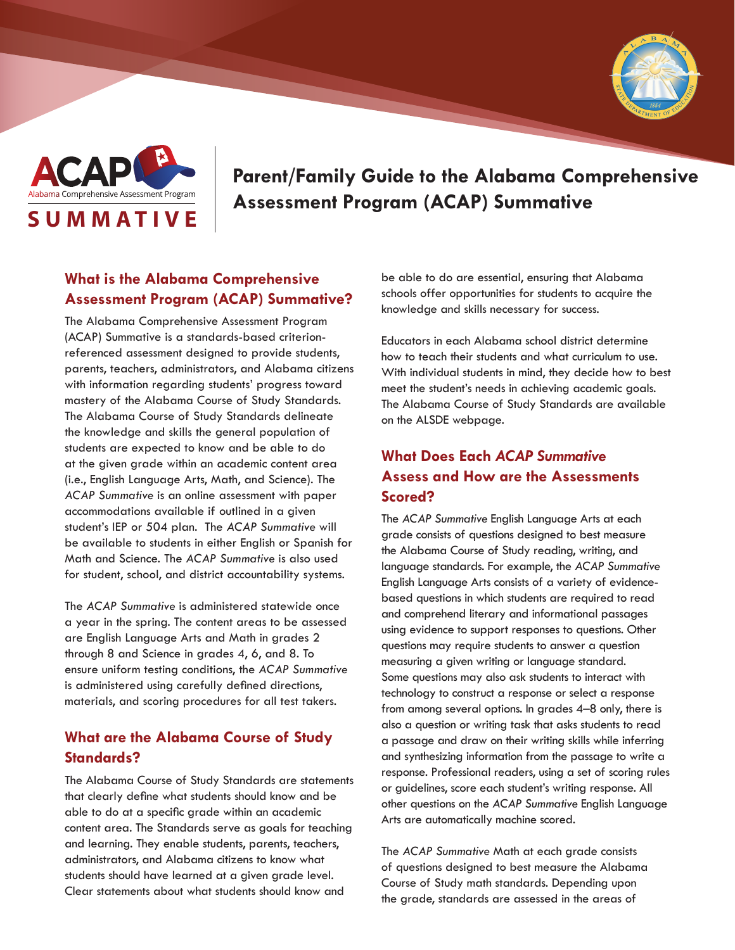



# **Parent/Family Guide to the Alabama Comprehensive**  Alabama Comprehensive Assessment Program | Assessment Program (ACAP) Summative

### **What is the Alabama Comprehensive Assessment Program (ACAP) Summative?**

The Alabama Comprehensive Assessment Program (ACAP) Summative is a standards-based criterionreferenced assessment designed to provide students, parents, teachers, administrators, and Alabama citizens with information regarding students' progress toward mastery of the Alabama Course of Study Standards. The Alabama Course of Study Standards delineate the knowledge and skills the general population of students are expected to know and be able to do at the given grade within an academic content area (i.e., English Language Arts, Math, and Science). The *ACAP Summative* is an online assessment with paper accommodations available if outlined in a given student's IEP or 504 plan. The *ACAP Summative* will be available to students in either English or Spanish for Math and Science. The *ACAP Summative* is also used for student, school, and district accountability systems.

The *ACAP Summative* is administered statewide once a year in the spring. The content areas to be assessed are English Language Arts and Math in grades 2 through 8 and Science in grades 4, 6, and 8. To ensure uniform testing conditions, the *ACAP Summative* is administered using carefully defined directions, materials, and scoring procedures for all test takers.

#### **What are the Alabama Course of Study Standards?**

The Alabama Course of Study Standards are statements that clearly define what students should know and be able to do at a specific grade within an academic content area. The Standards serve as goals for teaching and learning. They enable students, parents, teachers, administrators, and Alabama citizens to know what students should have learned at a given grade level. Clear statements about what students should know and

be able to do are essential, ensuring that Alabama schools offer opportunities for students to acquire the knowledge and skills necessary for success.

Educators in each Alabama school district determine how to teach their students and what curriculum to use. With individual students in mind, they decide how to best meet the student's needs in achieving academic goals. The Alabama Course of Study Standards are available on the ALSDE webpage.

## **What Does Each** *ACAP Summative* **Assess and How are the Assessments Scored?**

The *ACAP Summative* English Language Arts at each grade consists of questions designed to best measure the Alabama Course of Study reading, writing, and language standards. For example, the *ACAP Summative* English Language Arts consists of a variety of evidencebased questions in which students are required to read and comprehend literary and informational passages using evidence to support responses to questions. Other questions may require students to answer a question measuring a given writing or language standard. Some questions may also ask students to interact with technology to construct a response or select a response from among several options. In grades 4–8 only, there is also a question or writing task that asks students to read a passage and draw on their writing skills while inferring and synthesizing information from the passage to write a response. Professional readers, using a set of scoring rules or guidelines, score each student's writing response. All other questions on the *ACAP Summative* English Language Arts are automatically machine scored.

The *ACAP Summative* Math at each grade consists of questions designed to best measure the Alabama Course of Study math standards. Depending upon the grade, standards are assessed in the areas of